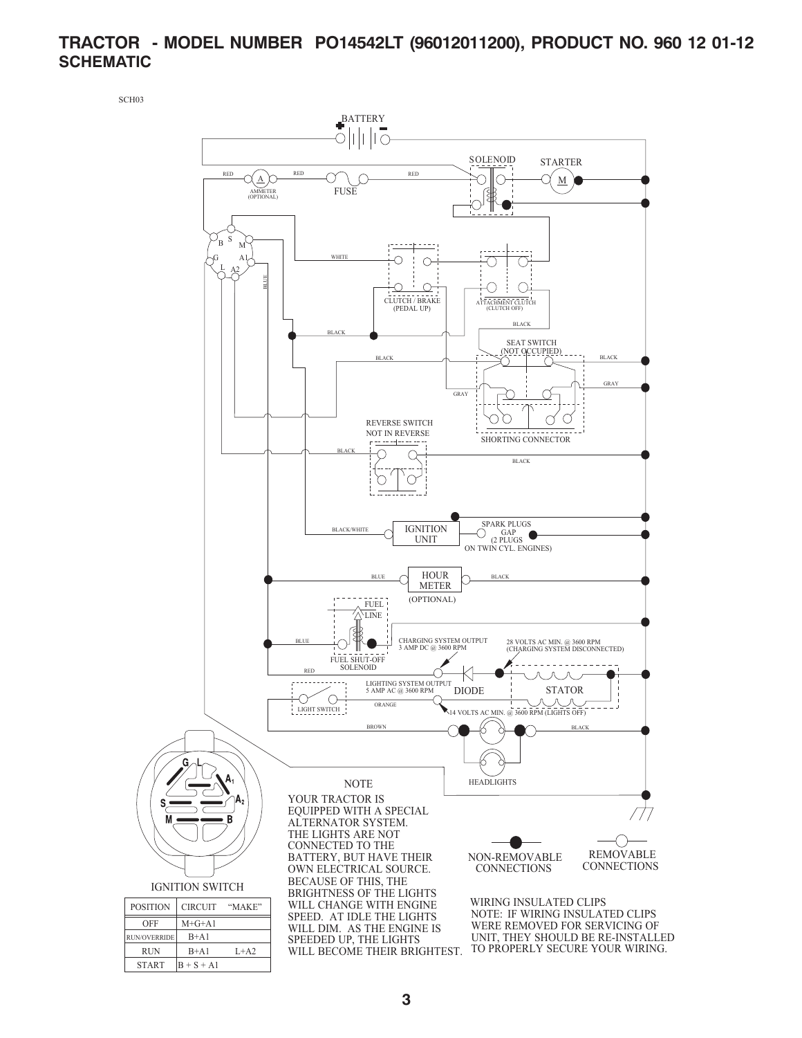# **TRACTOR - MODEL NUMBER PO14542LT (96012011200), PRODUCT NO. 960 12 01-12 SCHEMATIC**

SCH03

 $START$   $B + S + A1$ 

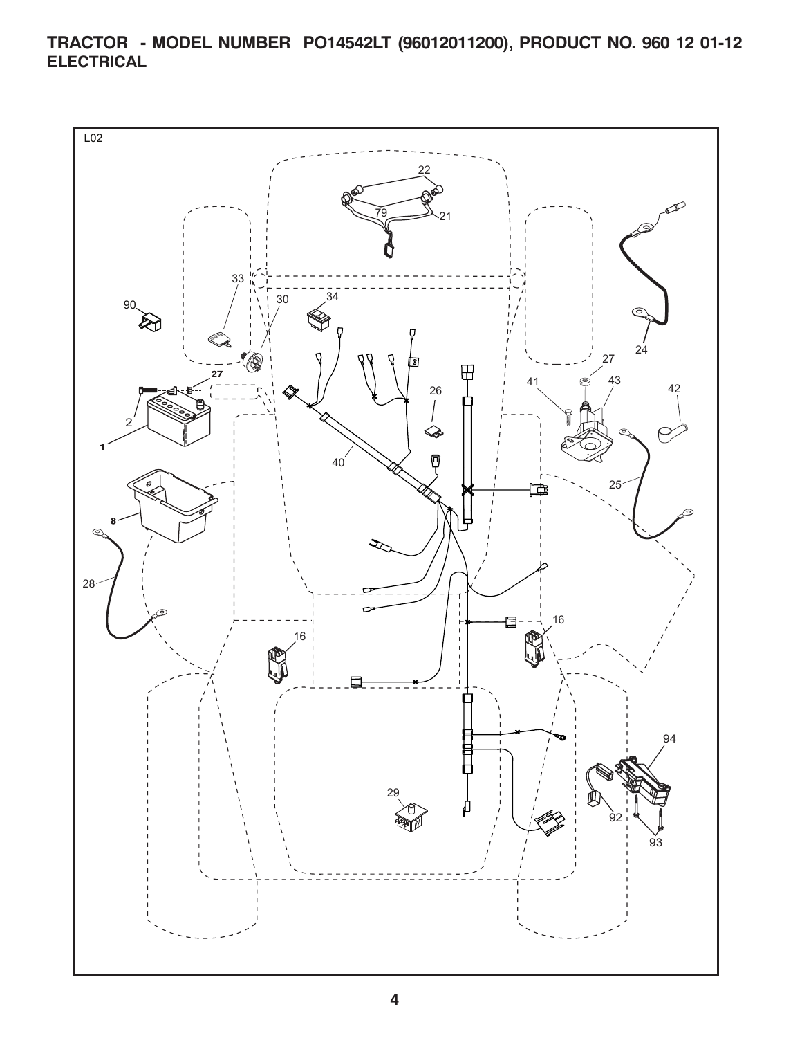**TRACTOR - MODEL NUMBER PO14542LT (96012011200), PRODUCT NO. 960 12 01-12 ELECTRICAL**

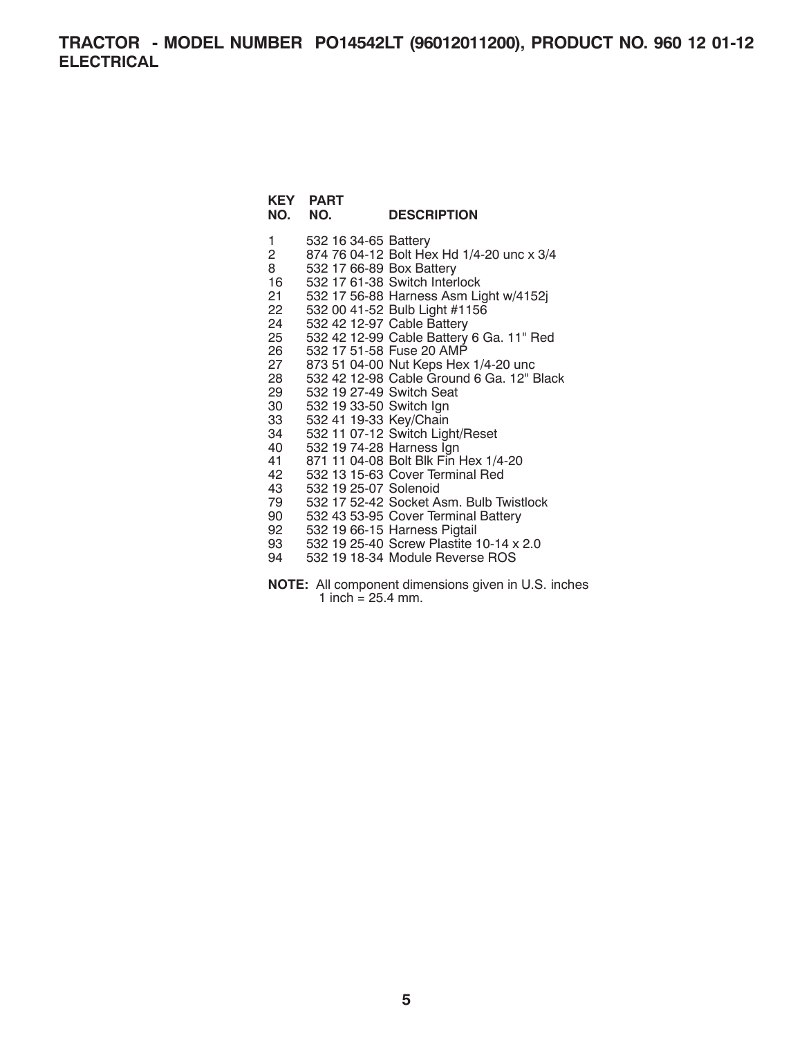**TRACTOR - MODEL NUMBER PO14542LT (96012011200), PRODUCT NO. 960 12 01-12 ELECTRICAL**

#### **KEY PART NO. NO. DESCRIPTION**

1 532 16 34-65 Battery 2 874 76 04-12 Bolt Hex Hd 1/4-20 unc x 3/4 8 532 17 66-89 Box Battery 16 532 17 61-38 Switch Interlock 21 532 17 56-88 Harness Asm Light w/4152j 22 532 00 41-52 Bulb Light #1156 24 532 42 12-97 Cable Battery<br>25 532 42 12-99 Cable Battery 25 532 42 12-99 Cable Battery 6 Ga. 11" Red 26 532 17 51-58 Fuse 20 AMP<br>27 873 51 04-00 Nut Keps Hex 27 873 51 04-00 Nut Keps Hex 1/4-20 unc 28 532 42 12-98 Cable Ground 6 Ga. 12" Black 29 532 19 27-49 Switch Seat 30 532 19 33-50 Switch Ign 33 532 41 19-33 Key/Chain 34 532 11 07-12 Switch Light/Reset 40 532 19 74-28 Harness Ign 41 871 11 04-08 Bolt Blk Fin Hex 1/4-20 42 532 13 15-63 Cover Terminal Red 43 532 19 25-07 Solenoid 79 532 17 52-42 Socket Asm. Bulb Twistlock 90 532 43 53-95 Cover Terminal Battery 92 532 19 66-15 Harness Pigtail 93 532 19 25-40 Screw Plastite 10-14 x 2.0 94 532 19 18-34 Module Reverse ROS

**NOTE:** All component dimensions given in U.S. inches 1 inch =  $25.4$  mm.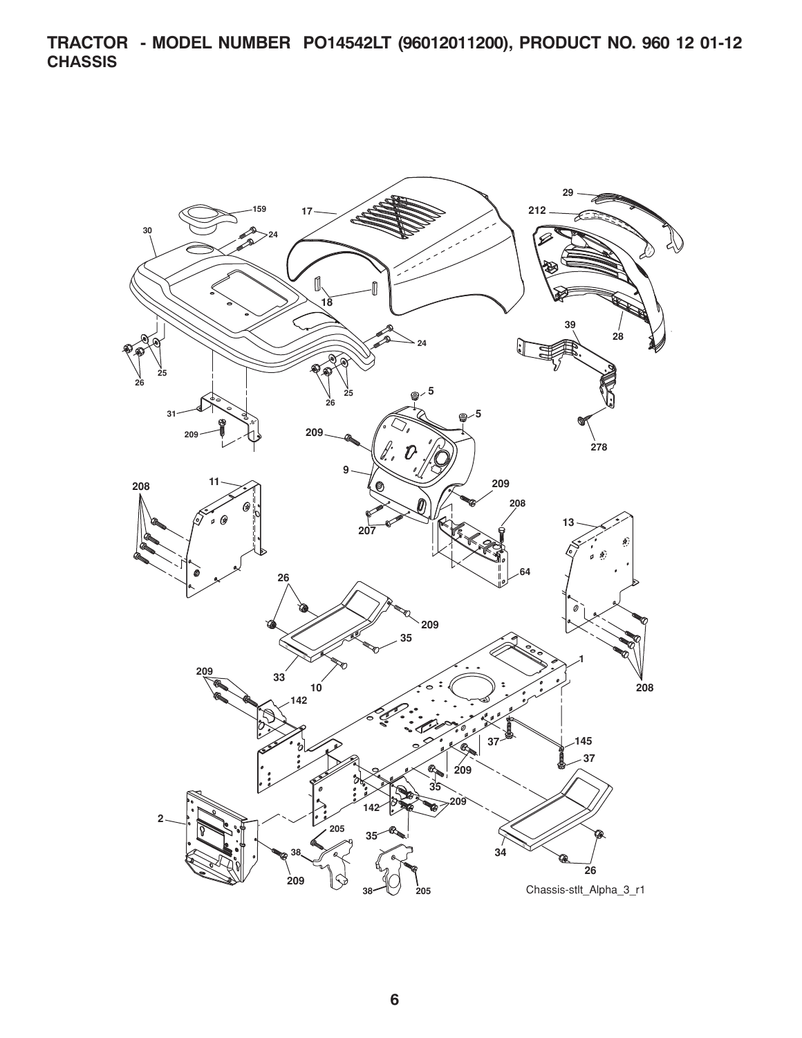**TRACTOR - MODEL NUMBER PO14542LT (96012011200), PRODUCT NO. 960 12 01-12 CHASSIS**

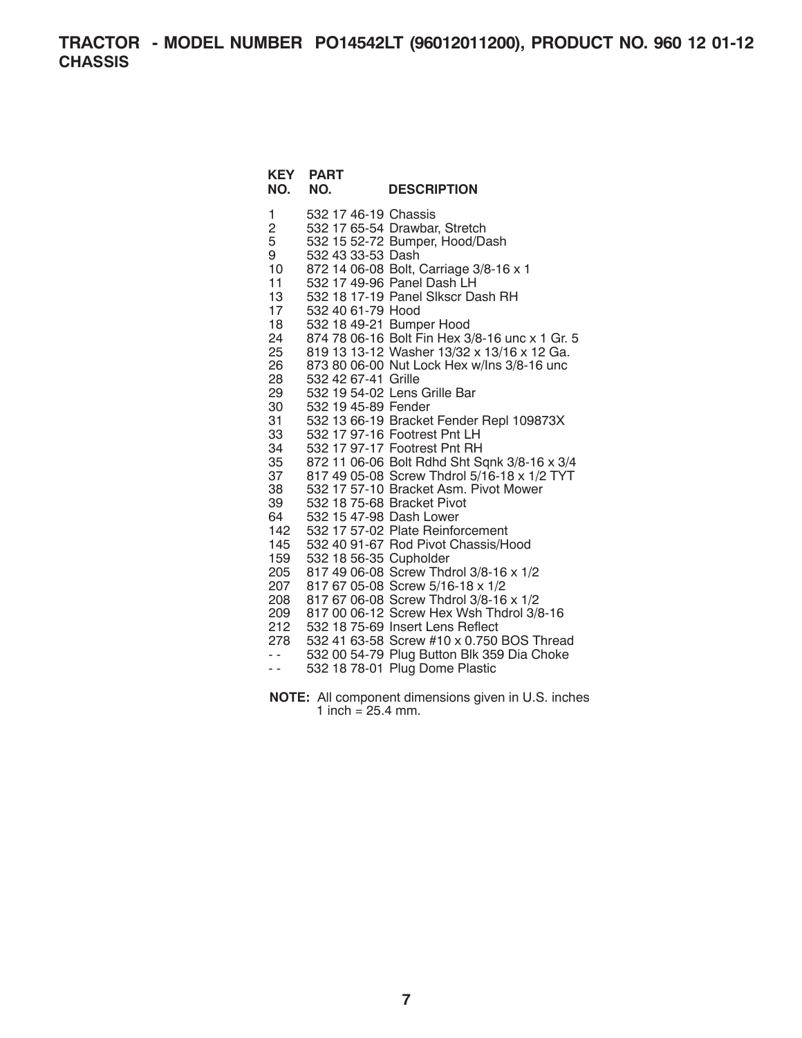**TRACTOR - MODEL NUMBER PO14542LT (96012011200), PRODUCT NO. 960 12 01-12 CHASSIS**

# **KEY PART DESCRIPTION**

- 1 532 17 46-19 Chassis
- 2 532 17 65-54 Drawbar, Stretch
- 5 532 15 52-72 Bumper, Hood/Dash
- 9 532 43 33-53 Dash
- 10 872 14 06-08 Bolt, Carriage 3/8-16 x 1
- 11 532 17 49-96 Panel Dash LH
- 13 532 18 17-19 Panel Slkscr Dash RH
- 17 532 40 61-79 Hood
- 18 532 18 49-21 Bumper Hood
- 24 874 78 06-16 Bolt Fin Hex 3/8-16 unc x 1 Gr. 5<br>25 819 13 13-12 Washer 13/32 x 13/16 x 12 Ga.
- 25 819 13 13-12 Washer 13/32 x 13/16 x 12 Ga.
- 873 80 06-00 Nut Lock Hex w/lns 3/8-16 unc
- 28 532 42 67-41 Grille
- 29 532 19 54-02 Lens Grille Bar 30 532 19 45-89 Fender
- 31 532 13 66-19 Bracket Fender Repl 109873X
- 33 532 17 97-16 Footrest Pnt LH
- 34 532 17 97-17 Footrest Pnt RH
- 35 872 11 06-06 Bolt Rdhd Sht Sqnk 3/8-16 x 3/4
- 37 817 49 05-08 Screw Thdrol 5/16-18 x 1/2 TYT
- 38 532 17 57-10 Bracket Asm. Pivot Mower
- 39 532 18 75-68 Bracket Pivot
- 64 532 15 47-98 Dash Lower
- 142 532 17 57-02 Plate Reinforcement
- 145 532 40 91-67 Rod Pivot Chassis/Hood
- 159 532 18 56-35 Cupholder
- 205 817 49 06-08 Screw Thdrol 3/8-16 x 1/2
- 207 817 67 05-08 Screw 5/16-18 x 1/2
- 208 817 67 06-08 Screw Thdrol 3/8-16 x 1/2
- 209 817 00 06-12 Screw Hex Wsh Thdrol 3/8-16
- 212 532 18 75-69 Insert Lens Reflect
- 278 532 41 63-58 Screw #10 x 0.750 BOS Thread
- 532 00 54-79 Plug Button Blk 359 Dia Choke<br>- 532 18 78-01 Plug Dome Plastic
- 532 18 78-01 Plug Dome Plastic
- **NOTE:** All component dimensions given in U.S. inches 1 inch =  $25.4$  mm.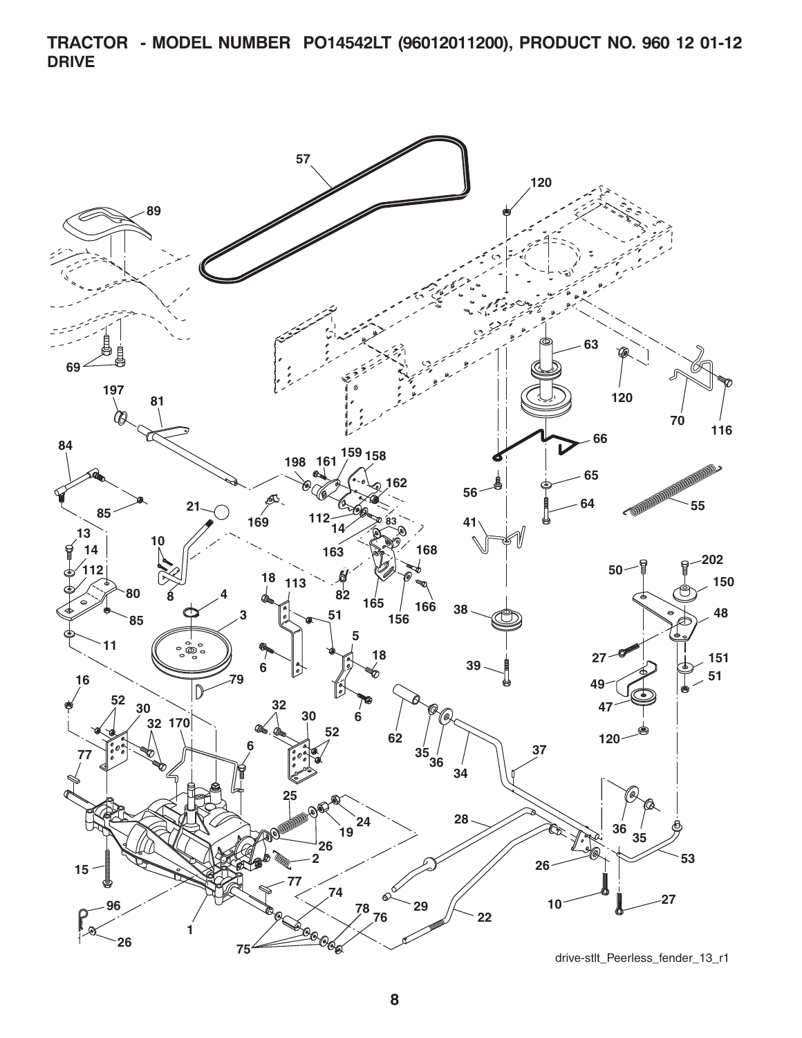**TRACTOR - MODEL NUMBER PO14542LT (96012011200), PRODUCT NO. 960 12 01-12 DRIVE**

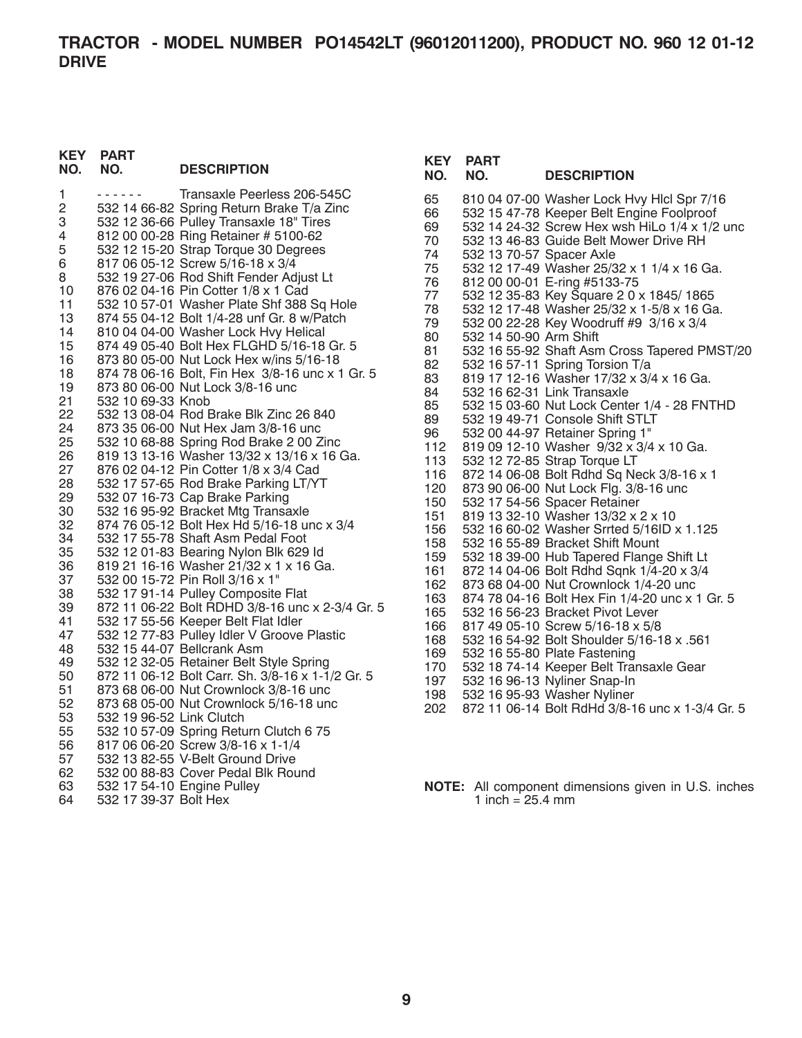#### **KEY PART NO. NO. DESCRIPTION**

| 1<br>2   |                            | Transaxle Peerless 206-545C                                                          |
|----------|----------------------------|--------------------------------------------------------------------------------------|
| 3        |                            | 532 14 66-82 Spring Return Brake T/a Zinc<br>532 12 36-66 Pulley Transaxle 18" Tires |
| 4        |                            | 812 00 00-28 Ring Retainer # 5100-62                                                 |
| 5        |                            | 532 12 15-20 Strap Torque 30 Degrees                                                 |
| 6        |                            | 817 06 05-12 Screw 5/16-18 x 3/4                                                     |
| 8        |                            | 532 19 27-06 Rod Shift Fender Adjust Lt                                              |
| 10       |                            | 876 02 04-16 Pin Cotter 1/8 x 1 Cad                                                  |
| 11       |                            | 532 10 57-01 Washer Plate Shf 388 Sq Hole                                            |
| 13       |                            | 874 55 04-12 Bolt 1/4-28 unf Gr. 8 w/Patch                                           |
| 14       |                            | 810 04 04-00 Washer Lock Hvy Helical                                                 |
| 15       |                            | 874 49 05-40 Bolt Hex FLGHD 5/16-18 Gr. 5                                            |
| 16       |                            | 873 80 05-00 Nut Lock Hex w/ins 5/16-18                                              |
| 18       |                            | 874 78 06-16 Bolt, Fin Hex 3/8-16 unc x 1 Gr. 5                                      |
| 19       |                            | 873 80 06-00 Nut Lock 3/8-16 unc                                                     |
| 21       | 532 10 69-33 Knob          |                                                                                      |
| 22       |                            | 532 13 08-04 Rod Brake Blk Zinc 26 840                                               |
| 24       |                            | 873 35 06-00 Nut Hex Jam 3/8-16 unc                                                  |
| 25       |                            | 532 10 68-88 Spring Rod Brake 2 00 Zinc                                              |
| 26       |                            | 819 13 13-16 Washer 13/32 x 13/16 x 16 Ga.                                           |
| 27       |                            | 876 02 04-12 Pin Cotter 1/8 x 3/4 Cad                                                |
| 28       |                            | 532 17 57-65 Rod Brake Parking LT/YT                                                 |
| 29       |                            | 532 07 16-73 Cap Brake Parking                                                       |
| 30       |                            | 532 16 95-92 Bracket Mtg Transaxle                                                   |
| 32       |                            | 874 76 05-12 Bolt Hex Hd 5/16-18 unc x 3/4                                           |
| 34       |                            | 532 17 55-78 Shaft Asm Pedal Foot                                                    |
| 35       |                            | 532 12 01-83 Bearing Nylon Blk 629 ld                                                |
| 36       |                            | 819 21 16-16 Washer 21/32 x 1 x 16 Ga.                                               |
| 37       |                            | 532 00 15-72 Pin Roll 3/16 x 1"                                                      |
| 38       |                            | 532 17 91-14 Pulley Composite Flat                                                   |
| 39       |                            | 872 11 06-22 Bolt RDHD 3/8-16 unc x 2-3/4 Gr. 5                                      |
| 41       |                            | 532 17 55-56 Keeper Belt Flat Idler                                                  |
| 47       |                            | 532 12 77-83 Pulley Idler V Groove Plastic                                           |
| 48       |                            | 532 15 44-07 Bellcrank Asm                                                           |
| 49       |                            | 532 12 32-05 Retainer Belt Style Spring                                              |
| 50       |                            | 872 11 06-12 Bolt Carr. Sh. 3/8-16 x 1-1/2 Gr. 5                                     |
| 51       |                            | 873 68 06-00 Nut Crownlock 3/8-16 unc                                                |
| 52<br>53 | 532 19 96-52 Link Clutch   | 873 68 05-00 Nut Crownlock 5/16-18 unc                                               |
| 55       |                            | 532 10 57-09 Spring Return Clutch 6 75                                               |
| 56       |                            | 817 06 06-20 Screw 3/8-16 x 1-1/4                                                    |
| 57       |                            | 532 13 82-55 V-Belt Ground Drive                                                     |
| 62       |                            | 532 00 88-83 Cover Pedal Blk Round                                                   |
| 63       | 532 17 54-10 Engine Pulley |                                                                                      |
| 64       | 532 17 39-37 Bolt Hex      |                                                                                      |
|          |                            |                                                                                      |

# **KEY PART NO. NO. DESCRIPTION**

- 65 810 04 07-00 Washer Lock Hvy Hlcl Spr 7/16 66 532 15 47-78 Keeper Belt Engine Foolproof 69 532 14 24-32 Screw Hex wsh HiLo 1/4 x 1/2 unc 70 532 13 46-83 Guide Belt Mower Drive RH 74 532 13 70-57 Spacer Axle<br>75 532 12 17-49 Washer 25/3 75 532 12 17-49 Washer 25/32 x 1 1/4 x 16 Ga. 76 812 00 00-01 E-ring #5133-75<br>77 532 12 35-83 Kev Square 2 0 : 77 532 12 35-83 Key Square 2 0 x 1845/ 1865 78 532 12 17-48 Washer 25/32 x 1-5/8 x 16 Ga. 79 532 00 22-28 Key Woodruff #9 3/16 x 3/4 80 532 14 50-90 Arm Shift<br>81 532 16 55-92 Shaft Asn 81 532 16 55-92 Shaft Asm Cross Tapered PMST/20<br>82 532 16 57-11 Spring Torsion T/a 82 532 16 57-11 Spring Torsion T/a<br>83 819 17 12-16 Washer 17/32 x 3/4 83 819 17 12-16 Washer 17/32 x 3/4 x 16 Ga.<br>84 532 16 62-31 Link Transaxle 84 532 16 62-31 Link Transaxle 85 532 15 03-60 Nut Lock Center 1/4 - 28 FNTHD<br>89 532 19 49-71 Console Shift STLT 89 532 19 49-71 Console Shift STLT<br>96 532 00 44-97 Retainer Spring 1" 96 532 00 44-97 Retainer Spring 1" 112 819 09 12-10 Washer 9/32 x 3/4 x 10 Ga. 113 532 12 72-85 Strap Torque LT 116 872 14 06-08 Bolt Rdhd Sq Neck 3/8-16 x 1 120 873 90 06-00 Nut Lock Flg. 3/8-16 unc 150 532 17 54-56 Spacer Retainer 819 13 32-10 Washer 13/32 x 2 x 10 156 532 16 60-02 Washer Srrted 5/16ID x 1.125 158 532 16 55-89 Bracket Shift Mount 159 532 18 39-00 Hub Tapered Flange Shift Lt 161 872 14 04-06 Bolt Rdhd Sqnk 1/4-20 x 3/4 162 873 68 04-00 Nut Crownlock 1/4-20 unc 163 874 78 04-16 Bolt Hex Fin 1/4-20 unc x 1 Gr. 5 165 532 16 56-23 Bracket Pivot Lever 166 817 49 05-10 Screw 5/16-18 x 5/8 168 532 16 54-92 Bolt Shoulder 5/16-18 x .561 169 532 16 55-80 Plate Fastening 170 532 18 74-14 Keeper Belt Transaxle Gear 197 532 16 96-13 Nyliner Snap-In 198 532 16 95-93 Washer Nyliner 202 872 11 06-14 Bolt RdHd 3/8-16 unc x 1-3/4 Gr. 5
- **NOTE:** All component dimensions given in U.S. inches 1 inch =  $25.4 \, \text{mm}$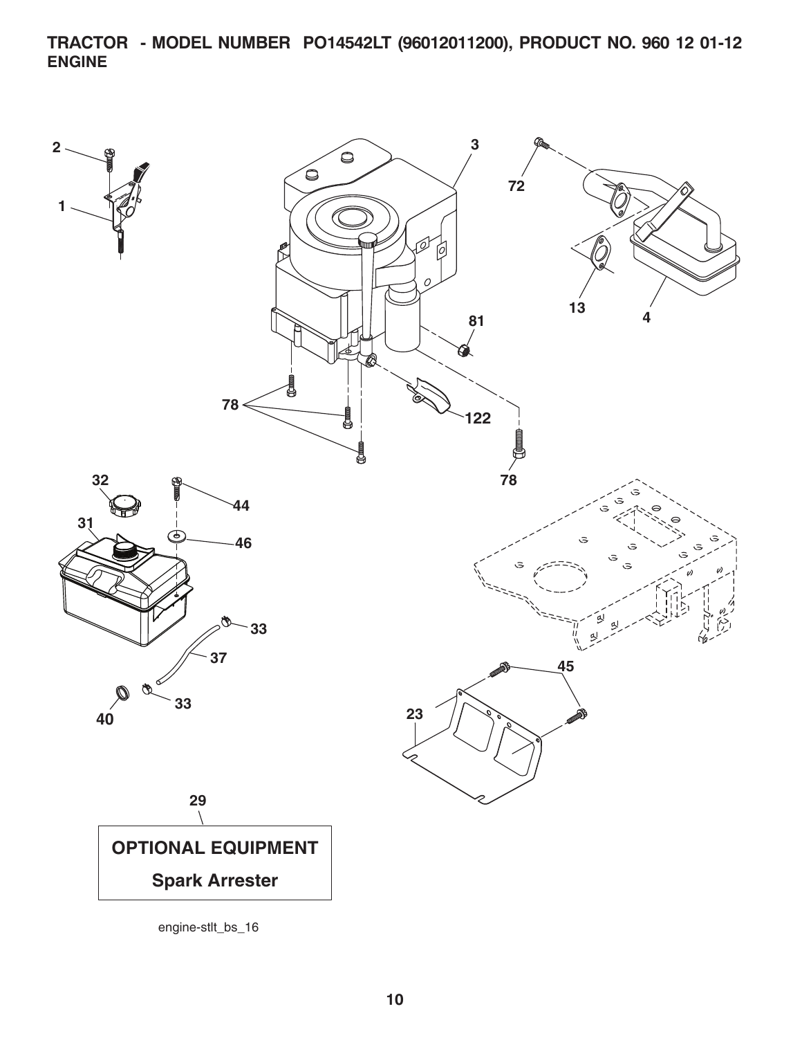**TRACTOR - MODEL NUMBER PO14542LT (96012011200), PRODUCT NO. 960 12 01-12 ENGINE**

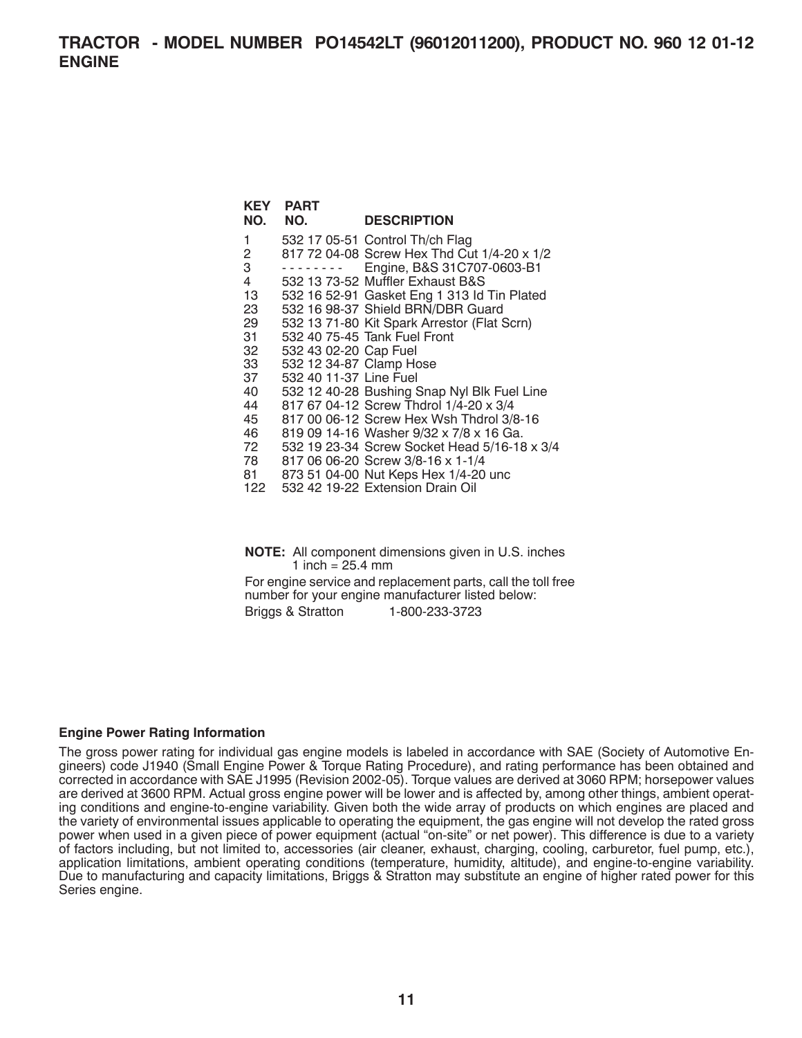| KEY            | <b>PART</b>             |                                              |
|----------------|-------------------------|----------------------------------------------|
| NO.            | NO.                     | <b>DESCRIPTION</b>                           |
| 1              |                         | 532 17 05-51 Control Th/ch Flag              |
| $\overline{2}$ |                         | 817 72 04-08 Screw Hex Thd Cut 1/4-20 x 1/2  |
| 3              |                         | Engine, B&S 31C707-0603-B1                   |
| $\overline{4}$ |                         | 532 13 73-52 Muffler Exhaust B&S             |
| 13             |                         | 532 16 52-91 Gasket Eng 1 313 ld Tin Plated  |
| 23             |                         | 532 16 98-37 Shield BRN/DBR Guard            |
| 29             |                         | 532 13 71-80 Kit Spark Arrestor (Flat Scrn)  |
| 31             |                         | 532 40 75-45 Tank Fuel Front                 |
| 32             | 532 43 02-20 Cap Fuel   |                                              |
| 33             | 532 12 34-87 Clamp Hose |                                              |
| 37             | 532 40 11-37 Line Fuel  |                                              |
| 40             |                         | 532 12 40-28 Bushing Snap Nyl Blk Fuel Line  |
| 44             |                         | 817 67 04-12 Screw Thdrol 1/4-20 x 3/4       |
| 45             |                         | 817 00 06-12 Screw Hex Wsh Thdrol 3/8-16     |
| 46             |                         | 819 09 14-16 Washer 9/32 x 7/8 x 16 Ga.      |
| 72             |                         | 532 19 23-34 Screw Socket Head 5/16-18 x 3/4 |
| 78             |                         | 817 06 06-20 Screw 3/8-16 x 1-1/4            |
| 81             |                         | 873 51 04-00 Nut Keps Hex 1/4-20 unc         |
| 122            |                         | 532 42 19-22 Extension Drain Oil             |
|                |                         |                                              |

**NOTE:** All component dimensions given in U.S. inches 1 inch =  $25.4 \, \text{mm}$ 

For engine service and replacement parts, call the toll free number for your engine manufacturer listed below: Briggs & Stratton 1-800-233-3723

## **Engine Power Rating Information**

The gross power rating for individual gas engine models is labeled in accordance with SAE (Society of Automotive Engineers) code J1940 (Small Engine Power & Torque Rating Procedure), and rating performance has been obtained and corrected in accordance with SAE J1995 (Revision 2002-05). Torque values are derived at 3060 RPM; horsepower values are derived at 3600 RPM. Actual gross engine power will be lower and is affected by, among other things, ambient operating conditions and engine-to-engine variability. Given both the wide array of products on which engines are placed and the variety of environmental issues applicable to operating the equipment, the gas engine will not develop the rated gross power when used in a given piece of power equipment (actual "on-site" or net power). This difference is due to a variety of factors including, but not limited to, accessories (air cleaner, exhaust, charging, cooling, carburetor, fuel pump, etc.), application limitations, ambient operating conditions (temperature, humidity, altitude), and engine-to-engine variability. Due to manufacturing and capacity limitations, Briggs & Stratton may substitute an engine of higher rated power for this Series engine.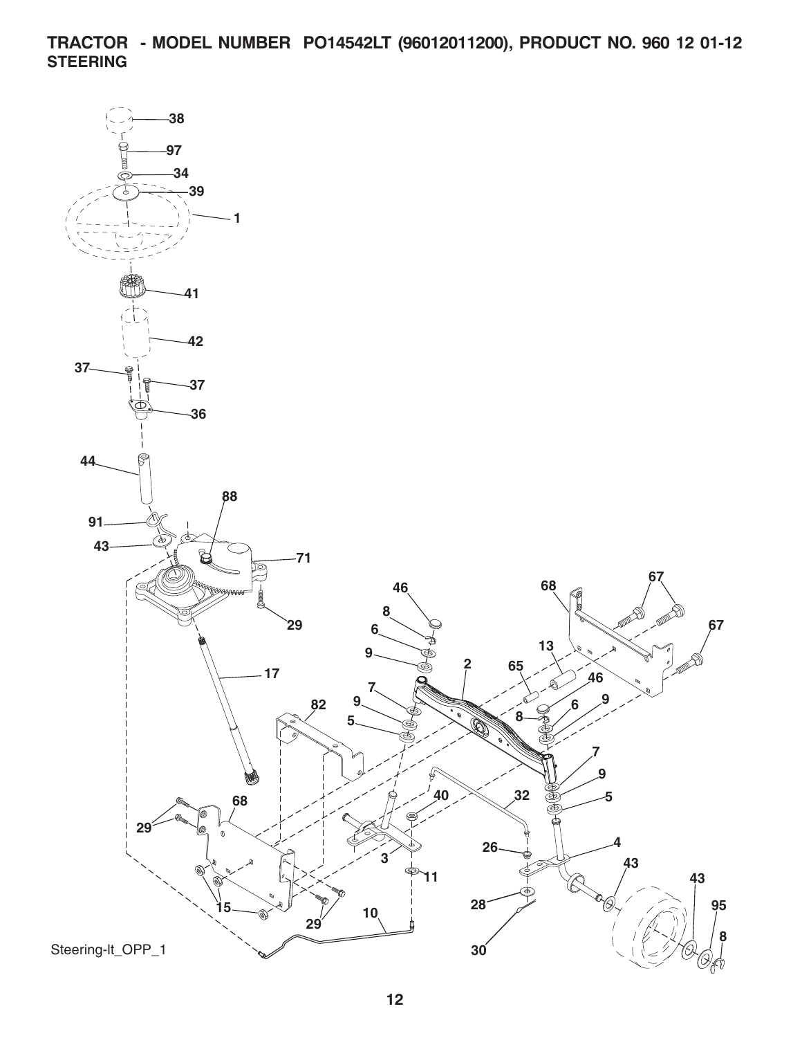**TRACTOR - MODEL NUMBER PO14542LT (96012011200), PRODUCT NO. 960 12 01-12 STEERING**

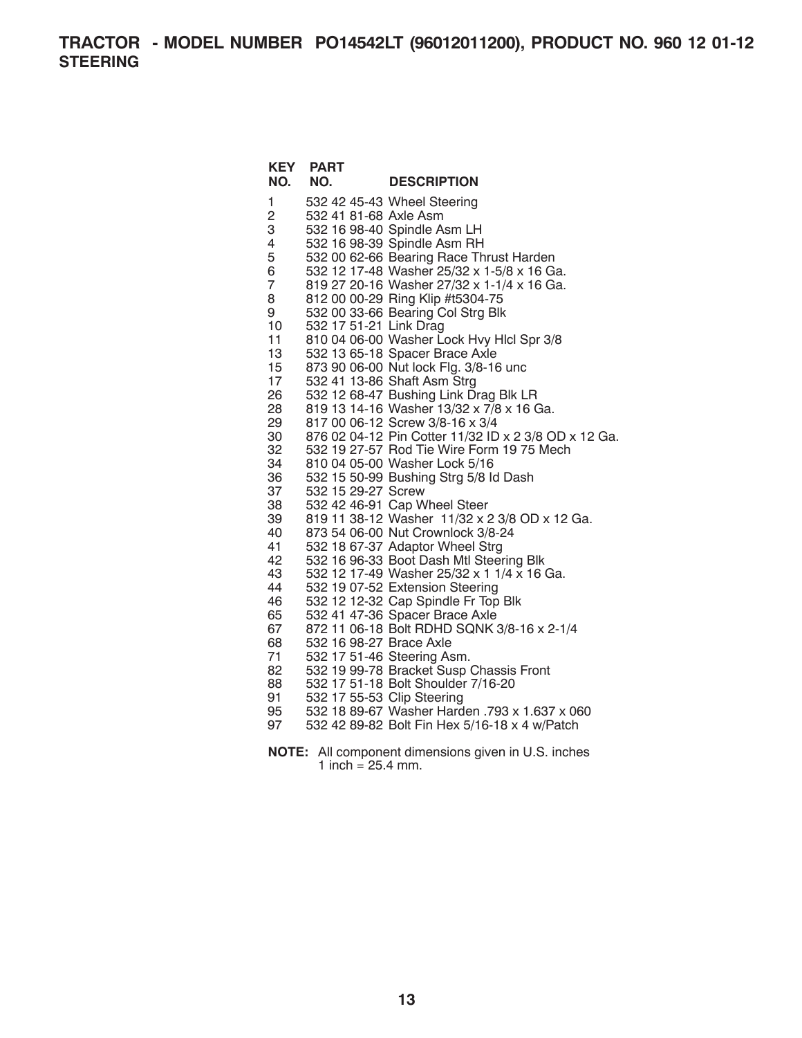**TRACTOR - MODEL NUMBER PO14542LT (96012011200), PRODUCT NO. 960 12 01-12 STEERING**

| <b>KEY</b><br>NO. | <b>PART</b><br>NO.         | <b>DESCRIPTION</b>                                                         |
|-------------------|----------------------------|----------------------------------------------------------------------------|
| 1                 |                            | 532 42 45-43 Wheel Steering                                                |
| $\overline{c}$    | 532 41 81-68 Axle Asm      |                                                                            |
| 3                 |                            | 532 16 98-40 Spindle Asm LH                                                |
| 4                 |                            | 532 16 98-39 Spindle Asm RH                                                |
| 5                 |                            | 532 00 62-66 Bearing Race Thrust Harden                                    |
| 6                 |                            | 532 12 17-48 Washer 25/32 x 1-5/8 x 16 Ga.                                 |
| 7                 |                            | 819 27 20-16 Washer 27/32 x 1-1/4 x 16 Ga.                                 |
| 8                 |                            | 812 00 00-29 Ring Klip #t5304-75                                           |
| 9                 |                            | 532 00 33-66 Bearing Col Strg Blk                                          |
| 10                | 532 17 51-21 Link Drag     |                                                                            |
| 11                |                            | 810 04 06-00 Washer Lock Hvy Hlcl Spr 3/8                                  |
| 13                |                            | 532 13 65-18 Spacer Brace Axle                                             |
| 15                |                            | 873 90 06-00 Nut lock Flg. 3/8-16 unc                                      |
| 17                |                            | 532 41 13-86 Shaft Asm Strg                                                |
| 26                |                            | 532 12 68-47 Bushing Link Drag Blk LR                                      |
| 28                |                            | 819 13 14-16 Washer 13/32 x 7/8 x 16 Ga.                                   |
| 29                |                            | 817 00 06-12 Screw 3/8-16 x 3/4                                            |
| 30                |                            | 876 02 04-12 Pin Cotter 11/32 ID x 2 3/8 OD x 12 Ga.                       |
| 32<br>34          |                            | 532 19 27-57 Rod Tie Wire Form 19 75 Mech<br>810 04 05-00 Washer Lock 5/16 |
| 36                |                            | 532 15 50-99 Bushing Strg 5/8 ld Dash                                      |
| 37                | 532 15 29-27 Screw         |                                                                            |
| 38                |                            | 532 42 46-91 Cap Wheel Steer                                               |
| 39                |                            | 819 11 38-12 Washer 11/32 x 2 3/8 OD x 12 Ga.                              |
| 40                |                            | 873 54 06-00 Nut Crownlock 3/8-24                                          |
| 41                |                            | 532 18 67-37 Adaptor Wheel Strg                                            |
| 42                |                            | 532 16 96-33 Boot Dash Mtl Steering Blk                                    |
| 43                |                            | 532 12 17-49 Washer 25/32 x 1 1/4 x 16 Ga.                                 |
| 44                |                            | 532 19 07-52 Extension Steering                                            |
| 46                |                            | 532 12 12-32 Cap Spindle Fr Top Blk                                        |
| 65                |                            | 532 41 47-36 Spacer Brace Axle                                             |
| 67                |                            | 872 11 06-18 Bolt RDHD SQNK 3/8-16 x 2-1/4                                 |
| 68                | 532 16 98-27 Brace Axle    |                                                                            |
| 71                |                            | 532 17 51-46 Steering Asm.                                                 |
| 82                |                            | 532 19 99-78 Bracket Susp Chassis Front                                    |
| 88                |                            | 532 17 51-18 Bolt Shoulder 7/16-20                                         |
| 91                | 532 17 55-53 Clip Steering |                                                                            |
| 95                |                            | 532 18 89-67 Washer Harden .793 x 1.637 x 060                              |
| 97                |                            | 532 42 89-82 Bolt Fin Hex 5/16-18 x 4 w/Patch                              |
|                   |                            |                                                                            |

**NOTE:** All component dimensions given in U.S. inches 1 inch =  $25.4$  mm.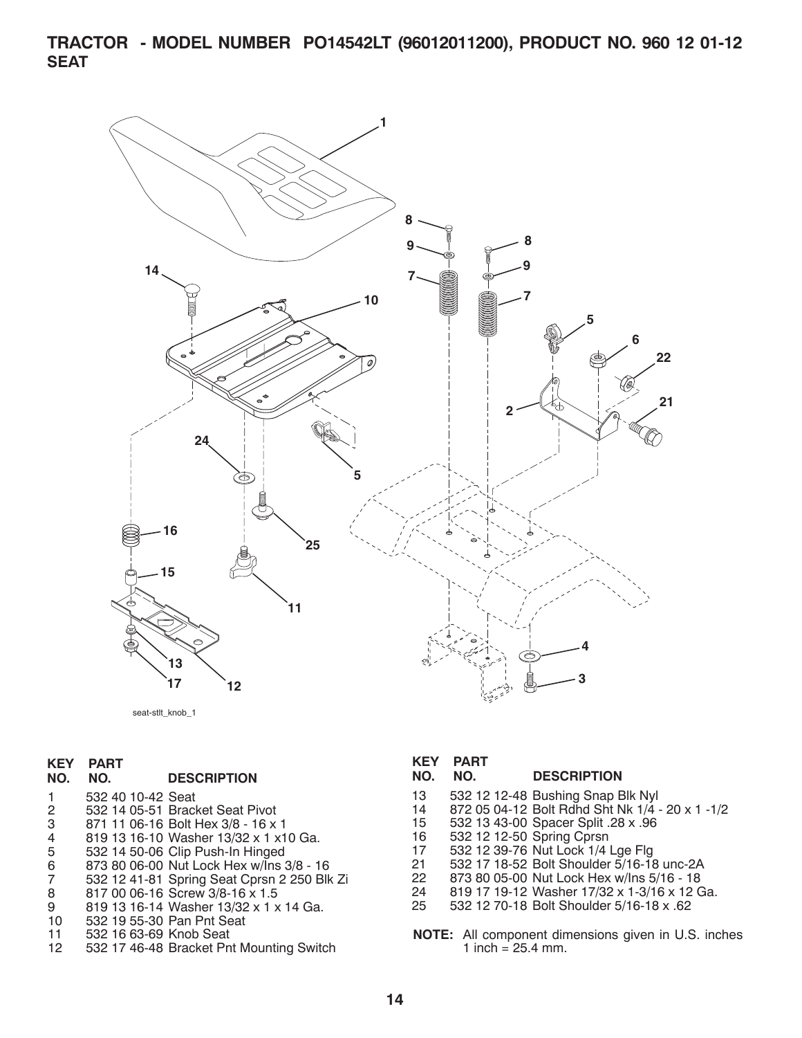**TRACTOR - MODEL NUMBER PO14542LT (96012011200), PRODUCT NO. 960 12 01-12 SEAT**



seat-stlt\_knob\_1

### **KEY PART**

#### **NO. NO. DESCRIPTION**

1 532 40 10-42 Seat

- 2 532 14 05-51 Bracket Seat Pivot
- 3 871 11 06-16 Bolt Hex 3/8 16 x 1
- 4 819 13 16-10 Washer 13/32 x 1 x10 Ga.
- 5 532 14 50-06 Clip Push-In Hinged
- 6 873 80 06-00 Nut Lock Hex w/Ins 3/8 16
- 7 532 12 41-81 Spring Seat Cprsn 2 250 Blk Zi
- 8 817 00 06-16 Screw 3/8-16 x 1.5<br>9 819 13 16-14 Washer 13/32 x 1 x
- 9 819 13 16-14 Washer 13/32 x 1 x 14 Ga.
- 10 532 19 55-30 Pan Pnt Seat
- 11 532 16 63-69 Knob Seat
- 12 532 17 46-48 Bracket Pnt Mounting Switch

#### **KEY PART**

#### **NO. NO. DESCRIPTION**

- 13 532 12 12-48 Bushing Snap Blk Nyl
- 14 872 05 04-12 Bolt Rdhd Sht Nk 1/4 20 x 1 -1/2
- 15 532 13 43-00 Spacer Split .28 x .96
- 16 532 12 12-50 Spring Cprsn
- 17 532 12 39-76 Nut Lock 1/4 Lge Flg
- 21 532 17 18-52 Bolt Shoulder 5/16-18 unc-2A<br>22 873 80 05-00 Nut Lock Hex w/lns 5/16 18
- 22 873 80 05-00 Nut Lock Hex w/Ins 5/16 18
- 24 819 17 19-12 Washer 17/32 x 1-3/16 x 12 Ga.
- 25 532 12 70-18 Bolt Shoul der 5/16-18 x .62
- **NOTE:** All component dimensions given in U.S. inches 1 inch =  $25.4$  mm.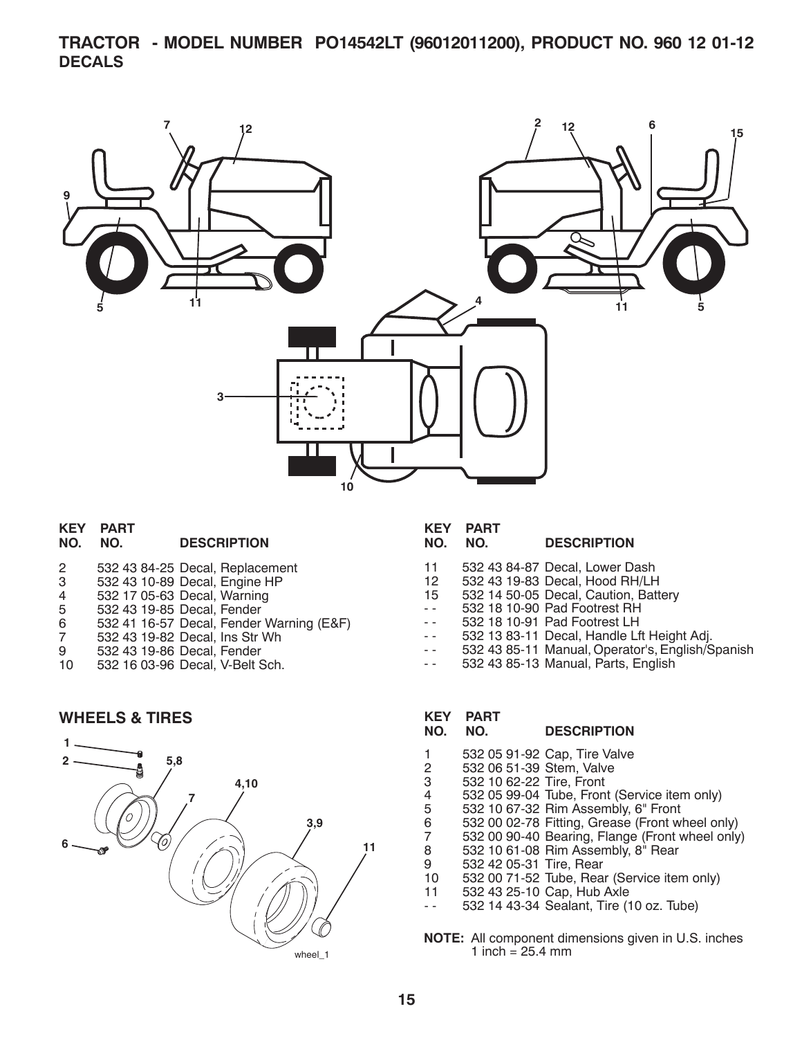# **TRACTOR - MODEL NUMBER PO14542LT (96012011200), PRODUCT NO. 960 12 01-12 DECALS**



|         | <b>KEY PART</b> |                    |
|---------|-----------------|--------------------|
| NO. NO. |                 | <b>DESCRIPTION</b> |

| 2 | 532 43 84-25 Decal, Replacement |
|---|---------------------------------|
| 3 | 532 43 10-89 Decal, Engine HP   |

- 4 532 17 05-63 Decal, Warning
- 5 532 43 19-85 Decal, Fender
- 6 532 41 16-57 Decal, Fender Warning (E&F)
- 7 532 43 19-82 Decal, Ins Str Wh
- 9 532 43 19-86 Decal, Fender<br>10 532 16 03-96 Decal, V-Belt 9
- 532 16 03-96 Decal, V-Belt Sch.

# **WHEELS & TIRES**



# **KEY PART**

### **DESCRIPTION**

- 11 532 43 84-87 Decal, Lower Dash
- 12 532 43 19-83 Decal, Hood RH/LH
- 15 532 14 50-05 Decal, Caution, Battery
- - 532 18 10-90 Pad Footrest RH
- - 532 18 10-91 Pad Footrest LH
- - 532 13 83-11 Decal, Handle Lft Height Adj.
- - 532 43 85-11 Manual, Operator's, English/Spanish
- - 532 43 85-13 Manual, Parts, English

# **KEY PART**

## **NO. NO. DESCRIPTION**

- 1 532 05 91-92 Cap, Tire Valve
- 2 532 06 51-39 Stem, Valve
- 3 532 10 62-22 Tire, Front
- 4 532 05 99-04 Tube, Front (Service item only)
- 5 532 10 67-32 Rim Assembly, 6" Front
- 6 532 00 02-78 Fitting, Grease (Front wheel only)
- 7 532 00 90-40 Bearing, Flange (Front wheel only)
- 8 532 10 61-08 Rim Assembly, 8" Rear
- 9 532 42 05-31 Tire, Rear<br>10 532 00 71-52 Tube, Rea
- 532 00 71-52 Tube, Rear (Service item only)
- 11 532 43 25-10 Cap, Hub Axle
- - 532 14 43-34 Sealant, Tire (10 oz. Tube)
- **NOTE:** All component dimensions given in U.S. inches 1 inch =  $25.4$  mm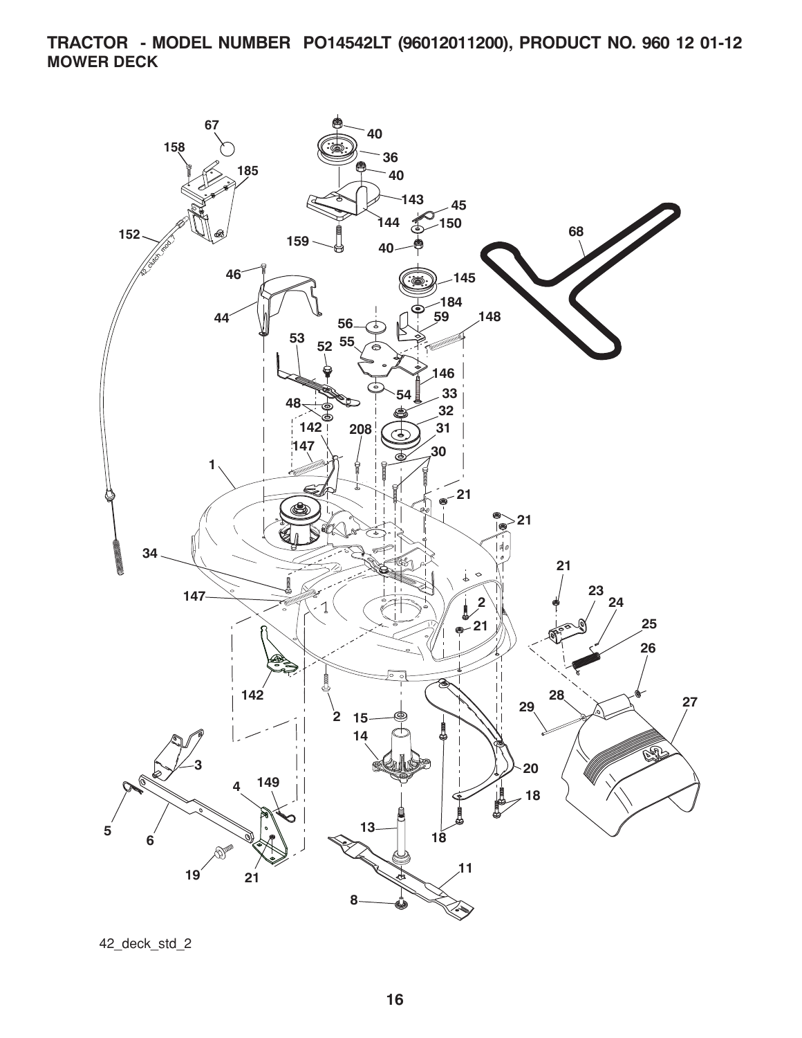**TRACTOR - MODEL NUMBER PO14542LT (96012011200), PRODUCT NO. 960 12 01-12 MOWER DECK**



42\_deck\_std\_2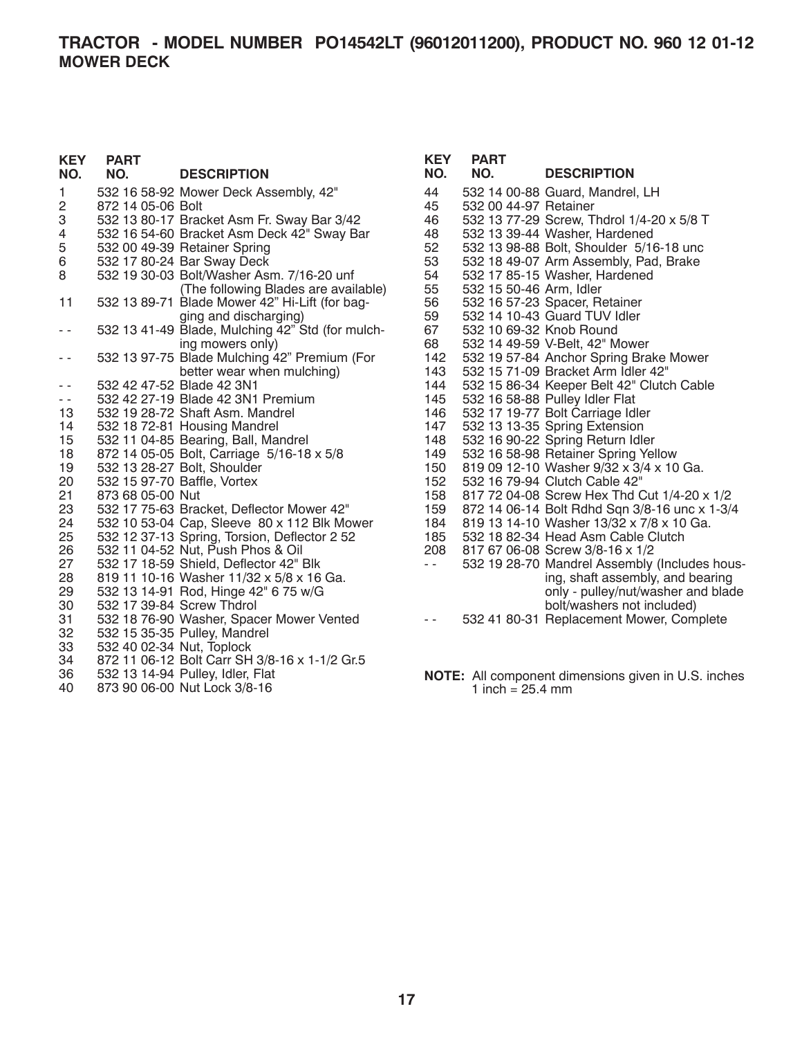| <b>KEY</b><br>NO.                        | <b>PART</b><br>NO.        | <b>DESCRIPTION</b>                               | <b>KEY</b><br>NO.                     | <b>PART</b><br>NO.      | <b>DESCRIPTION</b>                                         |
|------------------------------------------|---------------------------|--------------------------------------------------|---------------------------------------|-------------------------|------------------------------------------------------------|
| 1.                                       |                           | 532 16 58-92 Mower Deck Assembly, 42"            | 44                                    |                         | 532 14 00-88 Guard, Mandrel, LH                            |
| 2                                        | 872 14 05-06 Bolt         |                                                  | 45                                    | 532 00 44-97 Retainer   |                                                            |
| 3                                        |                           | 532 13 80-17 Bracket Asm Fr. Sway Bar 3/42       | 46                                    |                         | 532 13 77-29 Screw, Thdrol 1/4-20 x 5/8 T                  |
| 4                                        |                           | 532 16 54-60 Bracket Asm Deck 42" Sway Bar       | 48                                    |                         | 532 13 39-44 Washer, Hardened                              |
| 5                                        |                           | 532 00 49-39 Retainer Spring                     | 52                                    |                         | 532 13 98-88 Bolt, Shoulder 5/16-18 unc                    |
| 6                                        |                           | 532 17 80-24 Bar Sway Deck                       | 53                                    |                         | 532 18 49-07 Arm Assembly, Pad, Brake                      |
| 8                                        |                           | 532 19 30-03 Bolt/Washer Asm. 7/16-20 unf        | 54                                    |                         | 532 17 85-15 Washer, Hardened                              |
|                                          |                           | (The following Blades are available)             | 55                                    | 532 15 50-46 Arm, Idler |                                                            |
| 11                                       |                           | 532 13 89-71 Blade Mower 42" Hi-Lift (for bag-   | 56                                    |                         | 532 16 57-23 Spacer, Retainer                              |
|                                          |                           | ging and discharging)                            | 59                                    |                         | 532 14 10-43 Guard TUV Idler                               |
| $\frac{1}{2} \left( \frac{1}{2} \right)$ |                           | 532 13 41-49 Blade, Mulching 42" Std (for mulch- | 67                                    | 532 10 69-32 Knob Round |                                                            |
|                                          |                           | ing mowers only)                                 | 68                                    |                         | 532 14 49-59 V-Belt, 42" Mower                             |
| $\frac{1}{2}$                            |                           | 532 13 97-75 Blade Mulching 42" Premium (For     | 142                                   |                         | 532 19 57-84 Anchor Spring Brake Mower                     |
|                                          |                           | better wear when mulching)                       | 143                                   |                         | 532 15 71-09 Bracket Arm Idler 42"                         |
| $\sim$ $\sim$                            |                           | 532 42 47-52 Blade 42 3N1                        | 144                                   |                         | 532 15 86-34 Keeper Belt 42" Clutch Cable                  |
| $\frac{1}{2}$                            |                           | 532 42 27-19 Blade 42 3N1 Premium                | 145                                   |                         | 532 16 58-88 Pulley Idler Flat                             |
| 13                                       |                           | 532 19 28-72 Shaft Asm. Mandrel                  | 146                                   |                         | 532 17 19-77 Bolt Carriage Idler                           |
| 14                                       |                           | 532 18 72-81 Housing Mandrel                     | 147                                   |                         | 532 13 13-35 Spring Extension                              |
| 15                                       |                           | 532 11 04-85 Bearing, Ball, Mandrel              | 148                                   |                         | 532 16 90-22 Spring Return Idler                           |
| 18                                       |                           | 872 14 05-05 Bolt, Carriage 5/16-18 x 5/8        | 149                                   |                         | 532 16 58-98 Retainer Spring Yellow                        |
| 19                                       |                           | 532 13 28-27 Bolt, Shoulder                      | 150                                   |                         | 819 09 12-10 Washer 9/32 x 3/4 x 10 Ga.                    |
| 20                                       |                           | 532 15 97-70 Baffle, Vortex                      | 152                                   |                         | 532 16 79-94 Clutch Cable 42"                              |
| 21                                       | 873 68 05-00 Nut          |                                                  | 158                                   |                         | 817 72 04-08 Screw Hex Thd Cut 1/4-20 x 1/2                |
| 23                                       |                           | 532 17 75-63 Bracket, Deflector Mower 42"        | 159                                   |                         | 872 14 06-14 Bolt Rdhd Sqn 3/8-16 unc x 1-3/4              |
| 24                                       |                           | 532 10 53-04 Cap, Sleeve 80 x 112 Blk Mower      | 184                                   |                         | 819 13 14-10 Washer 13/32 x 7/8 x 10 Ga.                   |
| 25                                       |                           | 532 12 37-13 Spring, Torsion, Deflector 2 52     | 185                                   |                         | 532 18 82-34 Head Asm Cable Clutch                         |
| 26                                       |                           | 532 11 04-52 Nut, Push Phos & Oil                | 208                                   |                         | 817 67 06-08 Screw 3/8-16 x 1/2                            |
| 27                                       |                           | 532 17 18-59 Shield, Deflector 42" Blk           | $\omega_{\rm c}$ and $\omega_{\rm c}$ |                         | 532 19 28-70 Mandrel Assembly (Includes hous-              |
| 28                                       |                           | 819 11 10-16 Washer 11/32 x 5/8 x 16 Ga.         |                                       |                         | ing, shaft assembly, and bearing                           |
| 29                                       |                           | 532 13 14-91 Rod, Hinge 42" 6 75 w/G             |                                       |                         | only - pulley/nut/washer and blade                         |
| 30                                       |                           | 532 17 39-84 Screw Thdrol                        |                                       |                         | bolt/washers not included)                                 |
| 31                                       |                           | 532 18 76-90 Washer, Spacer Mower Vented         | $\sim$ $\sim$                         |                         | 532 41 80-31 Replacement Mower, Complete                   |
| 32                                       |                           | 532 15 35-35 Pulley, Mandrel                     |                                       |                         |                                                            |
| 33                                       | 532 40 02-34 Nut, Toplock |                                                  |                                       |                         |                                                            |
| 34                                       |                           | 872 11 06-12 Bolt Carr SH 3/8-16 x 1-1/2 Gr.5    |                                       |                         |                                                            |
| 36                                       |                           | 532 13 14-94 Pulley, Idler, Flat                 |                                       |                         | <b>NOTE:</b> All component dimensions given in U.S. inches |
| 40                                       |                           | 873 90 06-00 Nut Lock 3/8-16                     |                                       | 1 inch = $25.4$ mm      |                                                            |

component dimensions given in U.S. inches 1 inch =  $25.4 \, \text{mm}$